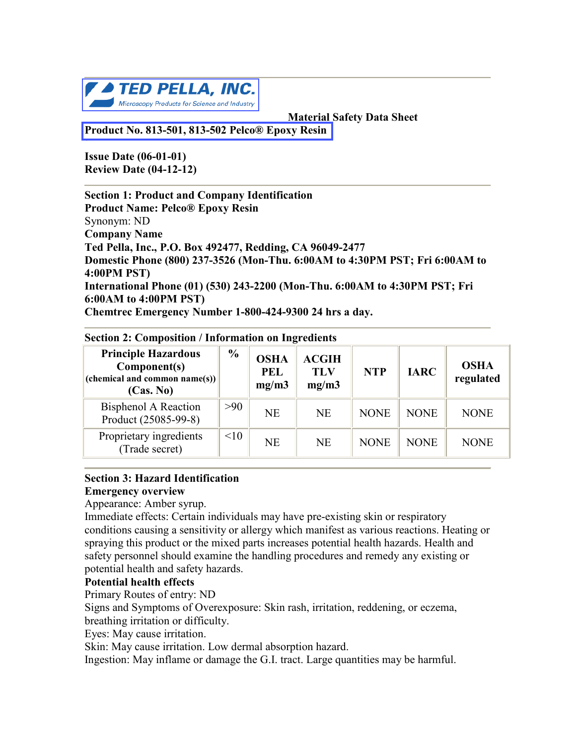

 **Material Safety Data Sheet**

**[Product No. 813-501, 813-502 Pelco® Epoxy Resin](http://www.tedpella.com/material_html/mount.htm#813-500)** 

**` Issue Date (06-01-01) Review Date (04-12-12)**

**Section 1: Product and Company Identification Product Name: Pelco® Epoxy Resin** Synonym: ND **Company Name Ted Pella, Inc., P.O. Box 492477, Redding, CA 96049-2477 Domestic Phone (800) 237-3526 (Mon-Thu. 6:00AM to 4:30PM PST; Fri 6:00AM to 4:00PM PST) International Phone (01) (530) 243-2200 (Mon-Thu. 6:00AM to 4:30PM PST; Fri 6:00AM to 4:00PM PST) Chemtrec Emergency Number 1-800-424-9300 24 hrs a day.**

| <b>Principle Hazardous</b><br>Component(s)<br>(chemical and common name(s))<br>(Cas. No) | $\frac{0}{0}$ | <b>OSHA</b><br><b>PEL</b><br>mg/m3 | <b>ACGIH</b><br>TLV<br>mg/m3 | <b>NTP</b>  | <b>IARC</b> | <b>OSHA</b><br>regulated |
|------------------------------------------------------------------------------------------|---------------|------------------------------------|------------------------------|-------------|-------------|--------------------------|
| <b>Bisphenol A Reaction</b><br>Product (25085-99-8)                                      | >90           | <b>NE</b>                          | <b>NE</b>                    | <b>NONE</b> | <b>NONE</b> | <b>NONE</b>              |
| Proprietary ingredients<br>(Trade secret)                                                | <10           | <b>NE</b>                          | <b>NE</b>                    | <b>NONE</b> | <b>NONE</b> | <b>NONE</b>              |

**Section 2: Composition / Information on Ingredients**

#### **Section 3: Hazard Identification Emergency overview**

Appearance: Amber syrup.

Immediate effects: Certain individuals may have pre-existing skin or respiratory conditions causing a sensitivity or allergy which manifest as various reactions. Heating or spraying this product or the mixed parts increases potential health hazards. Health and safety personnel should examine the handling procedures and remedy any existing or potential health and safety hazards.

### **Potential health effects**

Primary Routes of entry: ND

Signs and Symptoms of Overexposure: Skin rash, irritation, reddening, or eczema,

breathing irritation or difficulty.

Eyes: May cause irritation.

Skin: May cause irritation. Low dermal absorption hazard.

Ingestion: May inflame or damage the G.I. tract. Large quantities may be harmful.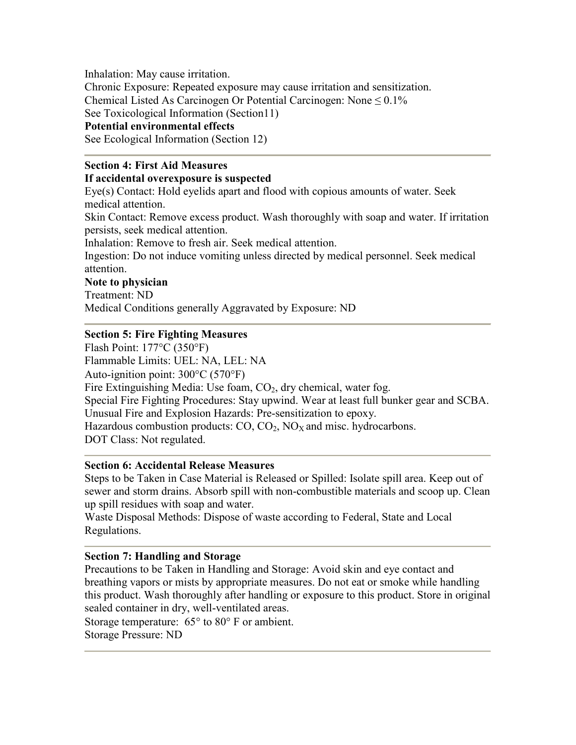Inhalation: May cause irritation.

Chronic Exposure: Repeated exposure may cause irritation and sensitization.

Chemical Listed As Carcinogen Or Potential Carcinogen: None  $\leq 0.1\%$ 

See Toxicological Information (Section11)

### **Potential environmental effects**

See Ecological Information (Section 12)

### **Section 4: First Aid Measures**

### **If accidental overexposure is suspected**

Eye(s) Contact: Hold eyelids apart and flood with copious amounts of water. Seek medical attention.

Skin Contact: Remove excess product. Wash thoroughly with soap and water. If irritation persists, seek medical attention.

Inhalation: Remove to fresh air. Seek medical attention.

Ingestion: Do not induce vomiting unless directed by medical personnel. Seek medical attention.

### **Note to physician**

Treatment: ND

Medical Conditions generally Aggravated by Exposure: ND

### **Section 5: Fire Fighting Measures**

Flash Point: 177°C (350°F) Flammable Limits: UEL: NA, LEL: NA Auto-ignition point: 300°C (570°F) Fire Extinguishing Media: Use foam,  $CO<sub>2</sub>$ , dry chemical, water fog. Special Fire Fighting Procedures: Stay upwind. Wear at least full bunker gear and SCBA. Unusual Fire and Explosion Hazards: Pre-sensitization to epoxy. Hazardous combustion products:  $CO$ ,  $CO<sub>2</sub>$ ,  $NO<sub>X</sub>$  and misc. hydrocarbons. DOT Class: Not regulated.

### **Section 6: Accidental Release Measures**

Steps to be Taken in Case Material is Released or Spilled: Isolate spill area. Keep out of sewer and storm drains. Absorb spill with non-combustible materials and scoop up. Clean up spill residues with soap and water.

Waste Disposal Methods: Dispose of waste according to Federal, State and Local Regulations.

### **Section 7: Handling and Storage**

Precautions to be Taken in Handling and Storage: Avoid skin and eye contact and breathing vapors or mists by appropriate measures. Do not eat or smoke while handling this product. Wash thoroughly after handling or exposure to this product. Store in original sealed container in dry, well-ventilated areas.

Storage temperature: 65° to 80° F or ambient.

Storage Pressure: ND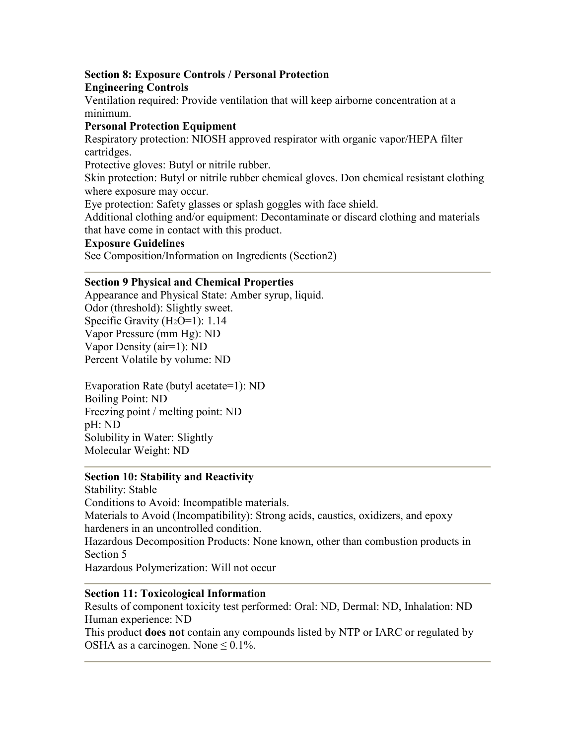# **Section 8: Exposure Controls / Personal Protection**

**Engineering Controls**

Ventilation required: Provide ventilation that will keep airborne concentration at a minimum.

# **Personal Protection Equipment**

Respiratory protection: NIOSH approved respirator with organic vapor/HEPA filter cartridges.

Protective gloves: Butyl or nitrile rubber.

Skin protection: Butyl or nitrile rubber chemical gloves. Don chemical resistant clothing where exposure may occur.

Eye protection: Safety glasses or splash goggles with face shield.

Additional clothing and/or equipment: Decontaminate or discard clothing and materials that have come in contact with this product.

### **Exposure Guidelines**

See Composition/Information on Ingredients (Section2)

### **Section 9 Physical and Chemical Properties**

Appearance and Physical State: Amber syrup, liquid. Odor (threshold): Slightly sweet. Specific Gravity (H<sub>2</sub>O=1): 1.14 Vapor Pressure (mm Hg): ND Vapor Density (air=1): ND Percent Volatile by volume: ND

Evaporation Rate (butyl acetate=1): ND Boiling Point: ND Freezing point / melting point: ND pH: ND Solubility in Water: Slightly Molecular Weight: ND

# **Section 10: Stability and Reactivity**

Stability: Stable Conditions to Avoid: Incompatible materials. Materials to Avoid (Incompatibility): Strong acids, caustics, oxidizers, and epoxy hardeners in an uncontrolled condition. Hazardous Decomposition Products: None known, other than combustion products in Section 5 Hazardous Polymerization: Will not occur

# **Section 11: Toxicological Information**

Results of component toxicity test performed: Oral: ND, Dermal: ND, Inhalation: ND Human experience: ND

This product **does not** contain any compounds listed by NTP or IARC or regulated by OSHA as a carcinogen. None  $\leq 0.1\%$ .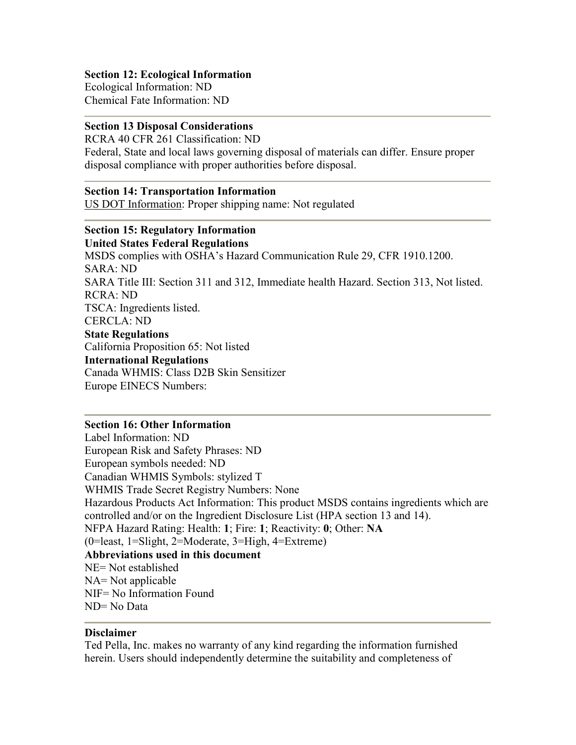### **Section 12: Ecological Information**

Ecological Information: ND Chemical Fate Information: ND

### **Section 13 Disposal Considerations**

RCRA 40 CFR 261 Classification: ND Federal, State and local laws governing disposal of materials can differ. Ensure proper disposal compliance with proper authorities before disposal.

#### **Section 14: Transportation Information**

US DOT Information: Proper shipping name: Not regulated

# **Section 15: Regulatory Information**

**United States Federal Regulations** MSDS complies with OSHA's Hazard Communication Rule 29, CFR 1910.1200. SARA: ND SARA Title III: Section 311 and 312, Immediate health Hazard. Section 313, Not listed. RCRA: ND TSCA: Ingredients listed. CERCLA: ND **State Regulations** California Proposition 65: Not listed **International Regulations** Canada WHMIS: Class D2B Skin Sensitizer Europe EINECS Numbers:

### **Section 16: Other Information**

Label Information: ND European Risk and Safety Phrases: ND European symbols needed: ND Canadian WHMIS Symbols: stylized T WHMIS Trade Secret Registry Numbers: None Hazardous Products Act Information: This product MSDS contains ingredients which are controlled and/or on the Ingredient Disclosure List (HPA section 13 and 14). NFPA Hazard Rating: Health: **1**; Fire: **1**; Reactivity: **0**; Other: **NA** (0=least, 1=Slight, 2=Moderate, 3=High, 4=Extreme) **Abbreviations used in this document** NE= Not established NA= Not applicable NIF= No Information Found ND= No Data

#### **Disclaimer**

Ted Pella, Inc. makes no warranty of any kind regarding the information furnished herein. Users should independently determine the suitability and completeness of